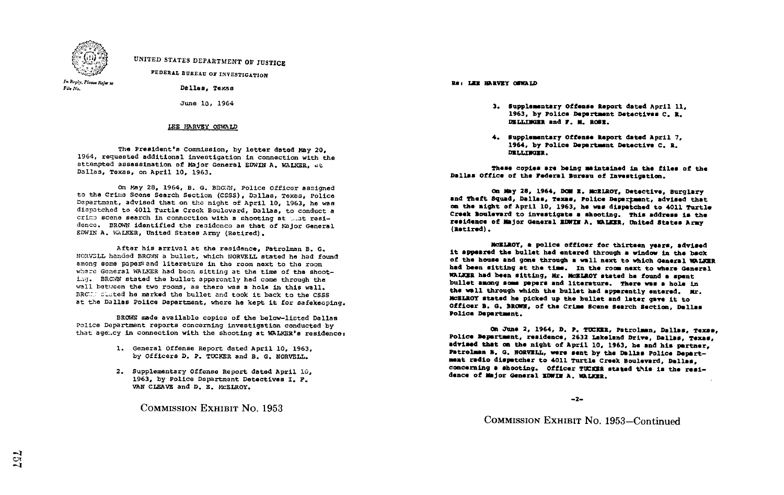

# UNITED STATES DEPARTMENT OF JUSTICE

FEDERAL BUREAU OF INVESTIGATION

In Reply, Picase Refer to<br>File No.

#### HARVEY OSWALD

The President's Commission, by letter dated May 20,<br>1964, requested additional investigation in connection with the attempted assassination of Major General EDWIN A. WALKER. at Dallas, Texas, on April 10, 1963.

On May 28, 1964, B. G. BRC.7N, Police Officer assigned to the Crims Scene Search Section (CSSS), Dallas, Texas, Police Department, advised that on the night of April 10, 1963, he was diapatchad to 4011 Turtle Creek Boulevard, Dallas, to conduct a crime scene search in connection with a shooting at what residence. BROWN identified the residence as that of Major General EDWIN A. WALKER, United States Army (Retired).

After his arrival at the residence, Patrolman B. G. NORVELL handed BROWN a bullet, which NORVELL stated he had found among some papetsand literature in the room next to the room where General WALKER had boon sitting at the time of the shooting. BRCMN stated the bullet apparently had come through the wall between the two rooms, as there was a hole in this wall. BRCHA slated he marked the bullet and took it back to the CSSS at the Dallas Police Dapartment, whero he kept it for safekeeping.

BROWN made available copica of the below-listed Dallas Police Department reports concerning Investigation conducted by that age.cy in connection with the shooting at WALKER's residence:

- 1. General Offense Report dated April 10, 1963, by Officers D. P. TUCKER and B. G. NORVELL.
- 2. Supplementary Offense Report dated April 10, 1963, by Police Dapartmant Detectives I. P. VAN CLEAVE and D. E. McELROY.

COMMISSION EXHIBIT No. 1953

Re: LEE BARVEY OFWALD

- June 10, 1964 **3. Supplementary Offense Report dated April 11.** 1963, by Police Department Datectivem c. R. DELLINGER and F. M. ROSE.
	- 4. Supplementary Offense Report dated April 7, 1964, by Police Department Detective C. R. DELLIWGER.

These copies are being maintained in the files of the Dallas Office of the Federal Bureau of Investigation.

On May 28, 1964, DOM E. McELROY, Detective, Burglary and Theft Squad, Dallas, Texas, Police Depertment, advised that on the night of April 10, 1963, he was dispatched to 4011 Turtle Creek Boulevard to investigate a shooting. This address is the residence of Major General EDWIN A. WALKER, United States Army (Retired) .

MCELROY, a police officer for thirteen years, advised it appeared the bullet had entered through a window in the back of the house and gone through <sup>a</sup> wall next to which General WALKZR had been sitting at the time. In the room next to where General NRLKER had been sitting, Mr. MCELEOY stated he found a spent bullet among some papers and literature. There was a hole in the wall through which the bullet had apparently entered. Mr. XcZIA0y stated he picked up the bullet and later gave it to Officer B. G. BROWN, of the Crime Scene Search Section, Dallas Police Departsmat.

On June 2, 1964, D. P. TUCKER, Patrolman, Dallas, Texas, Police Departmant, residence, 2632 Lakeland Drive, Dallas, Texas, advised that on the night of April 10, 1963, he and his partner, Patrolman B. G. NORVELL, were sent by the Dallas Police Departmeat radio dispetcher to 4011 Turtle Creek Boulevard, Dallas, concerning a shooting. Officer TUCKER stated this is the resi- dence of Major General ZDWIW A. WALKER.

 $-2-$ 

COMMISSION EXHIBIT No. 1953–Continued

्रं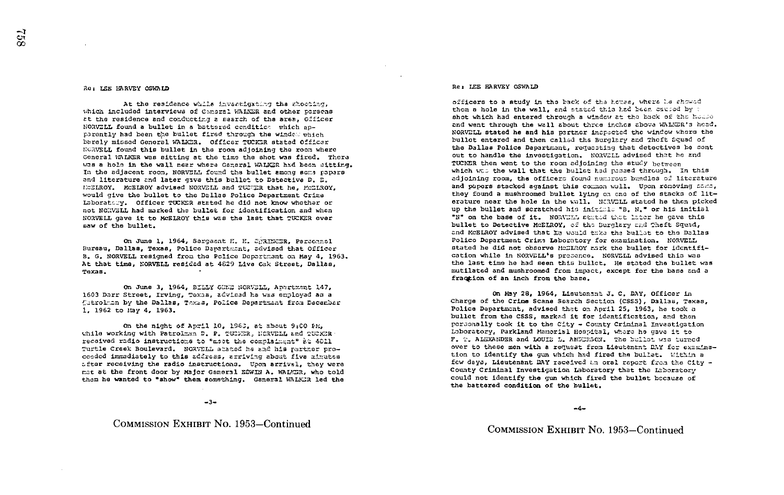#### Re: LEE HARVEY OSWAID

At the residence while investigating the shooting. which included interviews of Canoral WALKER and other porsons at the residence and conducting a search of the area, Officer NORVELL found a bullet in a battered condition which anperently had been the builet firsd through the window which barely missed General WALKER. Officar TUCKER stated Officar NCRVELL found this bullet in the room adjoining the room where General WALKER was sitting at the time the shot was fired. There wis a hole in the wall near where Gameral WALKER had been sitting. In the adjacent room, NORVELL found the bullet among some papers and literature and later gave this bullet to Detective D. E. MCELROY. MCELROY advised NORVELL and TUCTER that he, MCELROY, would give the bullet to the Dallas Police Department Crime Laboratory. Officer TUCKER stated he did not know whether or not NORWELL had marked the bullet for identification and when NORVELL gave it to MCELROY this was the last that TUCKER ever saw of the bullet.

On June 1, 1964, Sergeant H. H. STRINGER, Personnel Bureau, Dallas, Texas, Police Dapartment, advised that Officer B. G. NORVELL resigned from the Police Department on May 4. 1963. At that time, NORVELL resided at 4829 Live Cak Street, Dallas, Texas.

On June 3. 1964. BILLY GDEE NORVELL. Apertment 147. 1603 Darr Street, Irving, Texna, advised he was employed as a Cotrolman by the Dallas, Taxas, Police Department from December 1. 1962 to May 4. 1963.

On the night of April 10, 1963, at about 9:00 PH, while working with Patrolman D. P. TUCHER, HORVELL and TUCKER received radio instructions to "mest the complainent" at 4011 Turtle Creek Boulevard. NORVELL shaped he and his reringr proceeded immediately to this address, arriving about five minutes after receiving the radio instructions. Upon arrival, they were met at the front door by Major Ganeral EDWIN A. WALNER, who told them he wanted to "show" them something. Gameral WALKIR led the

#### $-3-$

COMMISSION EXHIBIT No. 1953-Continued

#### Re: LEE HARVEY OSWALD

officers to a study in the back of the house, where he showed them a hole in the wall, and stated this had been caused by : shot which had entered through a window at the back of the house and went through the wall about three inches above WALUGR's head. NORVELL stated he and his partner increated the window where the bullet entered and then called the Burglary and Theft Squad of the Dallas Police Department, requesting that detectives be sont out to handle the investigation. NORVELL advised that he and TUCKER then went to the room adjoining the study between which was the wall that the bullet had passed through. In this adjoining room, the officers found numerous bundles of literature and papers stacked against this common wall. Upon removing same, they found a mushroomed bullet lying on one of the stacks of literature near the hole in the wall. NERVELL stated he then picked up the bullet and scratched his initials "B. N." or his initial "N" on the base of it. NORVHAL prated that later he gave this bullet to Detective McDLROY, of the Burglary and Theft Squed, and MCELROY advised that he would take the bullet to the Dallas Polico Department Crime Laboratory for examination. NORVELL stated he did not observe McBLROY mark the bullet for identification while in NORVELL's presence. NORVELL advised this was the last time he had seen this bullet. He stated the bullet was mutilated and mushroomed from impact, except for the base and a fraction of an inch from the base.

On May 28, 1964, Lisutenant J. C. DAY, Officer in Charge of the Crime Scane Search Section (CSSS). Dallas. Taxas. Police Department, advised that on April 25, 1963, he took a bullet from the CSSS, marked it for identification, and then personally took it to the City - County Criminal Investigation Laboratory, Parkland Mamorial Hospital, where he gave it to F. T. ALEXAMDER and LOUIZ L. ANDERSON. The builst was turned over to these men with a request from Lieutenant DMY for examination to identify the qua which had fired the bullet. Within a few days, Lieutenant DAY received an oral report from the City -County Criminal Investigation Laboratory that the Laboratory could not identify the gun which fired the bullet because of the battered condition of the bullet.

 $-4-$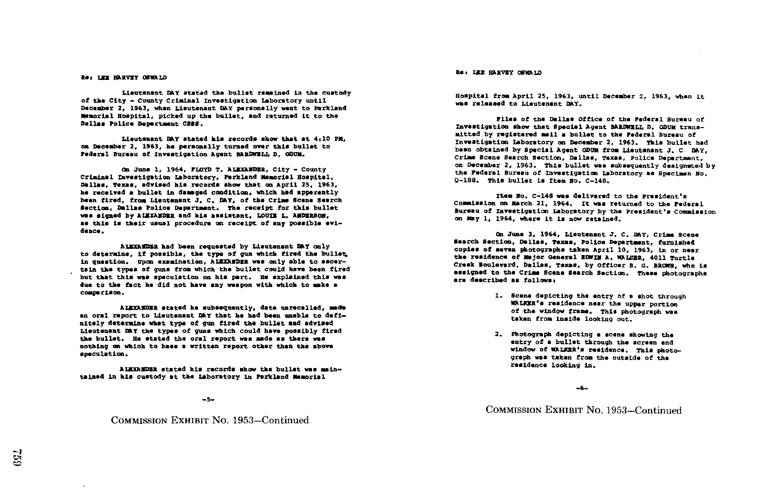#### Re: LEW HARVEY OSWALD

Lieutenant DAY Stated the bullet remained in the custody of the City - County Criminal Investigation Laboratory until December 3, 1963, when Lieutenant DAY personally went to Parkland Manorial Hospital, picked up the bullet, and returned it to the Dallas Police Deportment COBS .

Lieutenant DAY stated his records show that at 4 .10 PH, on December 2, 1963, he personally turned Over this bullet to Federal Bureau of Investigation Agent BARDWELL D. ODUM.

On June 1, 1964, FLOYD T. ALEXAMDER, City - County Criminal investigation laboratory, Forkland Memorial Hospital. Dallas, Texas, advised his records show that on April 25, 1963. he received a bullet in damaged condition, which had apparently been fired, from Lieutenant J. C. DAY, of the Crime Scene Search Section, Dallas Police Department. The receipt for this bullet was signed by ALEXANDER and his assistant, LOUIE L. ANDERSON, as this is their usual procedure on receipt of any possible evidance .

ALEMN031. had been requested by Lieutenant DRY only to determine, if possible, the type of gun which fired the bullet, in question. Upon examination, ALEXARDER was only able to ascertain the types of guns from which the bullet could have been fired but that this was speculation on his part. He explained this was due to the fact he did not have any weapon with which to make a comiparLson .

ALMMNDZR Stated he muboaquently, date unrecalled, madVe an oral report to Lieutenant DRY that he had been unable to deftnitely determine what type of gun fired the bullet and advised Lieutenant DAY the types of guns which could have possibly fired the bullet. He stated the oral report was made as there was nothing on which to base a written report other than the above speculation .

ALEXAMDER stated his records show the bullet was maintained in his custody at the Laboratory in Parkland Memorial

COMMISSION EXHIBIT No. 1953-Continued

Re: LEE HARVEY OSWALD

Hospital from April 25, 1963, until December 2, 1963, when it Was released to Lieutenant DRY.

Files of the Dallas Office of the Federal Bureau of Investigation show that Special Agent BARDWELL D. ODUM transmitted by registered Mail a bullet to the Federal Bureau of Investigation Laboratory on December 2, 1963 . This bullet had been obtained by Special Agent ODUM from Lieutenant J. C. DAY, Crime Scene Search Section, Dallas, Taxes, Police Department, on December 2, 1963. This bullet was subsequently designated by the Federal Bureau of Investigation Laboratory as Specimen No . Q-188. This bullet is Item No. C-148.

Item No. C-148 was delivered to the President's Commission on March 21, 1964. It was returned to the Federal Bureau of Investigation Laboratory by the President's Commission on May 1, 1964, where it is now retained.

On June 3, 1964, Lieutenant J. C. DAY, Crime Scene Search Section, Dallas, Texas, Police Department, furnished copies of seven photographs taken April 10, 1963, in or near the residence of Major General EDWIM A. WALKER, 4011 Turtle<br>Creek Boulevard, Dallas, Texas, by Officer B. G. BROWN, who is Crook Boulevard, Dallas . Taxes, by Officer B . G. BROWN, who is . L the Crime Scone Search Section . These photographs are described as follows:

- 1. Scene depicting the entry of a shot through WALKER's residence near the upper portion of the window frame. This photograph was taken from inside looking out.
- 2. Photograph depicting a scene showing the entry of a bullet through the screen and window Of WALKRR's residence . This photograph was taken from the outside of the residence looking In .

 $-6-$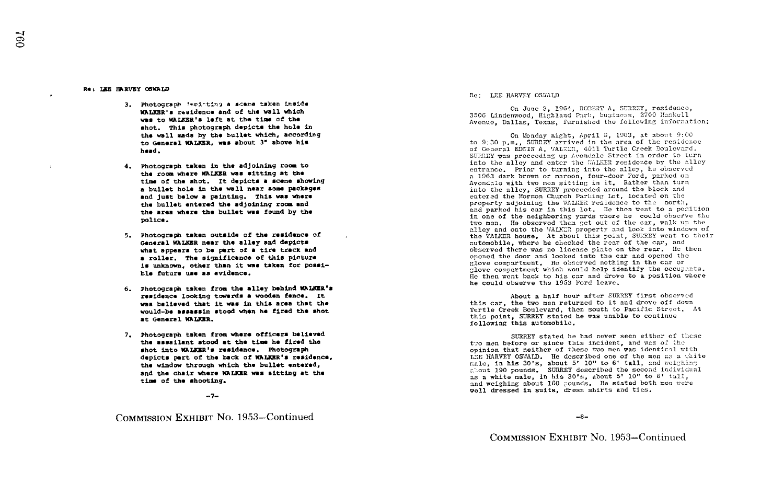#### Re, IZE ShRVEY OSWALD

- 3 . Photograpb <sup>4</sup> Ar : , t1n ,) a arons taken Instda WALKER's residence and of the Wall which was to WALKER's left at the time of the shot. This photograph depicts the hole in the wall made by the bullet which, according to General WALKER, was about 3" above his hand .
- <sup>4</sup> . Photograph taken in the adjoining rom to the rom where WALKER was sitting at the time of the shot. It depicts a scene showing bullet hole in the wall near some packages nd just below a painting. This was where the bullet entered the adjoining room and the area where the bullet was found by the police .
- 5 . Photograph taken outside of the residence of General WALKER near the alley and depicts General WALKER near the alley and depicts<br>what appears to be part of a tire track and a roller. The significance of this picture<br>is unknown, other than it was taken for possible future use an evidence .
- 6 . Photograph taken from the alley behind WALKER'S residence looking towards a wooden fence. It was believed that it was in this area that the<br>would-be assassin stood when he fired the shot was believed that it was in this area that the at General WALKER.
- 7. Photograph taken from where officers believed the assailant stood at the time he fired the shot into WALKER's residence. Photograph<br>depicts part of the back of WALKER's residence. the window through which the bullet entered, and the chair Where WALKER was sitting at the time of the shooting.

 $-7-$ 

COMMISSION EXHIBIT No. 1953-Continued

#### Re: LEE HARVEY OSWALD

0 3506 Linde .w.od, Highland Parh ' b~~i-s, 2700 '!askell n June 3, 1964, ROBERT A. SURREY, residence, Avenue, Dallas, Texas, furnished the following information;

On Monday night, April 3, 1963, at about 9:00<br>Support contract is the magnetic medicular to 9:30 p.m., SURREY arrived in the area of the residence of General EDWIN A. WALEER, 4011 Turtle Creek Boulovard. SURREY was proceeding up Avondale Street in order to turn into the alley and enter the WALKER residence by the alley entrance, Prior to turning into the alley, he observed<br>a 1963 dark brown of marion, four-door Eard, nerked on 1963 dark brown or maroon, four-door Ford, parked on Avendale with two men sitting in it. Rather than turn avondale with two men sitting in it. Wather than turn<br>into the alley, SURREY proceeded around the block and<br>into the alley, SURREY proceeded and the block and entered the Mormon Church Parking Lot, located on the property adjoining the WALKER residence to the north, and parked his car in this lot. He then went to a position<br>in one of the neighboring yards where he could observe the<br>two men. He observed then get out of the car, walk up the car in this lot. He then went to a position two men. He observed them get out of the car, walk up the alley and onto the WALKER property and look into windows of<br>the WALKER house. At about this point, SUUREY went to their<br>cuttorability when ER property and look into windows of automobile, where he checked the rear of the car, and observed there was no license plate on the rear. He then opened the door and looked into the car and opened the glove compartment. He observed nothing in the car or<br>class compartment which would belp identify the occur He then went back to his car and drove to a position where<br>he could shoowe the 1932 Eard leave glove compartment which would help identify the occupants.<br>He than went best to big som and drove to a position where he could observe the 19G3 Ford leave .

About a half hour after SURREY first observed<br>this car, the two men returned to it and drove off down<br>mentls front the security of the Pecific Stroot About a half hour after SURREY first observed Turtle Creek Boulevard, then south to Pacific Street. At this point, SURREY stated he was unable to continue following this automobile.

SURREY stated he had never seen either of these<br>two men before or since this incident, and was of the the men before or since this incident, and was of the<br>opinion that neither of these tvo men was identical with<br>point of the serve of these two men was identical with LEE HARVEY OSWALD. He described one of the men as a whist<br>male, in his 30's, about 5' 10" to 6' tall, and weighing<br>show a summer shown about the field of the distribution LEE HARVEY OSWALD. He described one of the men as a white about 190 pounds. SURREY described the second individual as a white male, in his 30's, about 5' 10" to 6' tall, and weighing about 160 pounds. He stated both men were<br>and weighing about 160 pounds. He stated both men were<br>well dressed in suits, dress shirts and ties. -1 dressed n suits, dress shirts and ties .

 $-8-$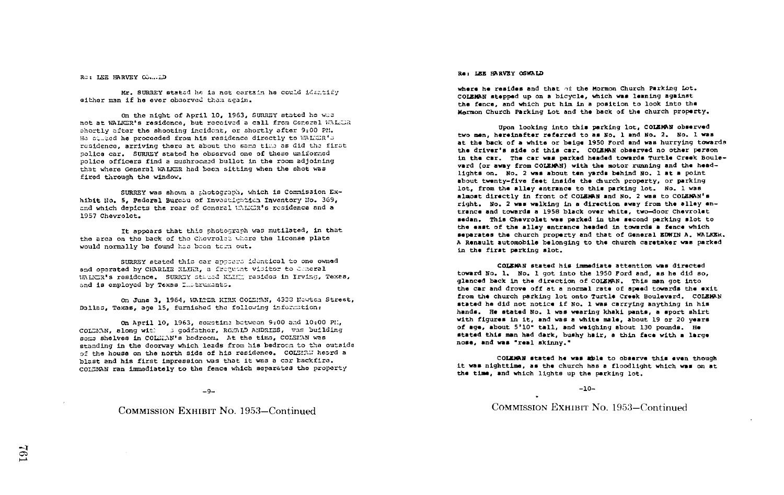RO: LEE HARVEY CO....ID

Mr. SURREY stated he is not certain he could identify cither man if he ever observed them again.

On the night of April 10, 1963, SURREY stated he was not at WALKER's residence, but received a call frem General WALEDA shortly after the shooting incident, or shortly after 9:00 PM. He stired he proceeded from his residence directly to WALKER's residence, arriving there at about the same time as did the first police car. SURREY stated he observed one of these uniformed police officers find a mushroomed bullet in the room adjoining that where General WALKER had been sitting when the shot was fired through the window.

SURREY was shown a photograph, which is Commission Exhibit No. 5. Federal Bureau of Investigation Inventory No. 369. and which depicts the rear of Goneral UNLUR's residence and a 1957 Chevrolet.

It appears that this photograph was mutilated, in that the area on the back of the Chevrolet where the license plate would normally be found has been term out.

SURREY stated this car appears identical to one owned and operated by CHARLIE KLIHR. a froguent visitor to Chaeral WALCR's residence. SURRBY stated KANET resides in Irving, Texas, and is employed by Texas Instruments.

On June 3, 1964, WALTER KIRK COLEMAN, 4333 Newton Strest, Dallas, Toxas, age 15, furnished the following information:

On April 10, 1963, sometime between 9:00 and 10:00 PM. COURAN, along with a codfering, RGWID ANDRIES, was building some shelves in COLMAN's bedroom. At the time, COLEMAN was standing in the doorway which leads from his bedroom to the outside of the house on the north side of his residence. COLEMAN heard a blast and his first impression was that it was a car backfire. COLSMAN ran immediately to the fence which separates the property

 $-9-$ 

# COMMISSION EXHIBIT No. 1953-Continued

#### Re: LEE HARVEY OSWALD

where he resides and that of the Mormon Church Parking Lot. COLEMAN stepped up on a bicycle, which was leaning against the fence, and which put him in a position to look into the Mormon Church Parking Lot and the back of the church property.

Upon looking into this parking lot. COLEMAN observed two men, hereinafter referred to as No. 1 and No. 2. No. 1 was at the back of a white or beige 1950 Ford and was hurrying towards the driver's side of this car. COLEMAN observed no other person in the car. The car was parked headed towards Turtle Creek Boulevard (or away from COLEMAN) with the motor running and the headlights on. No. 2 was about ten vards behind No. 1 at a point about twenty-five feet inside the church property, or parking lot, from the alley entrance to this parking lot. No. 1 was almost directly in front of COLEMAN and No. 2 was to COLEMAN's right. No. 2 was walking in a direction away from the alley entrance and towards a 1958 black over white, two-door Chevrolet sedan. This Chevrolet was parked in the second parking slot to the east of the alley entrance headed in towards a fence which separates the church property and that of General EDWIN A. WALKER. A Renault automobile belonging to the church caretaker was parked in the first parking slot.

COLEMAN stated his immediate attention was directed toward No. 1. No. 1 got into the 1950 Ford and, as he did so. glanced back in the direction of COLEMAN. This man got into the car and drove off at a normal rate of speed towards the exit from the church parking lot onto Turtle Creek Boulevard. COLEMAN stated he did not notice if No. 1 was carrying anything in his hands. He stated No. 1 was wearing khaki pants, a sport shirt with figures in it, and was a white male, about 19 or 20 years of age, about 5'10" tall, and weighing about 130 pounds. He stated this man had dark, bushy hair, a thin face with a large nose, and was "real skinny."

COLEMAN stated he was able to observe this even though it was nighttime, as the church has a floodlight which was on at the time, and which lights up the parking lot.

#### $-10-$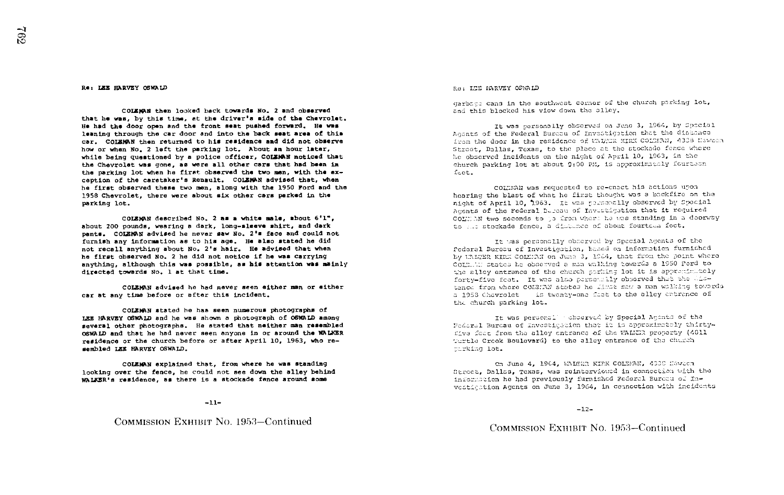#### He, LEE HARVEY OSWALD

COLEMAN then looked back towards No. 2 and observed that he was, by this time, at the driver's side of the Chevrolet. He had the door open and the front seat pushed forward. He was leaning through the car door and into the back beat area of this car . COLEARN then returned to his residence and did not observe how or when No. 2 left the parking lot. About an hour later, while being questioned by a police officer. COLEMAN noticed that the Chevrolet was gone, as were all other care that had been in the parking lot when he first observed the two man, with the exception of the caretaker's Renault. COLEMAN advised that, when he first observed these two men, along with the 1950 Ford and the 1958 Chevrolet, there were about six other cars parked in the parking lot.

COLEMAN described No. 2 as a white male, about 6'1". about 200 pounds, wearing a dark, long-sleeve shirt, and dark pants . COLEMAN advised he never saw No. 2's face and could not furnish any information as to his age. He also stated he did not recall anything about No. 2's hair. He advised that when he first observed No. 2 he did not notice if he was carrying anything, although this was possible, as his attention was mainly directed towards No. 1 at that time.

COLEMAN advised he had never seen either man or either car at any time before or after this incident.

COLEMAN stated be has seen numerous photographs of LEE HARVEY OSWALD and he was shown <sup>a</sup> photograph of OSWALD among several other photographs. He stated that neither man resembled OSWALD and that he had never seen anyone in or around the WALKER residence or the church before or after April 10, 1963, who resembled LEE HARVEY OSWALD.

COLEMAN explained that, from where he was standing looking over the fence, he could not see down the alley behind walkER's residence, as there is a stockade fence around some

# COMMISSION EXHIBIT No. 1953-Confinued

Ra: LTE MARVEY OSWALD

garbage cans in the southwest corner of the church parking lot, and this blocked his view down the alley.

It was earsonally observed on Jene 3, 1964, by Spacial Agents of the Federal Bureau of Investigation that the distance from the door in the residence of WAITER MIRX COLMBAN, 4338 Kawasa Street, Dallas, Texas, to the place at the stockade fence where he observed incidents on the night of April 10, 1963, in the church parking lot at about 0:00 PM, is approximately fourteen feat.

COLLMAN was requested to re-enact his actions upon hearing the blast of what he first thought was a backfire on the night of April 10, 1963. It was porsonally observed by Spocial hearing the blast of what he first thought was a backfire on thight of April 10, 1963. It was personally observed by Spoofs.<br>Agents of the Federal Bureau of Investigation that it required<br>sents of the Federal Bureau of Inv COLLAN two seconds to :s from where he was standing in a doorway to all stockade fence, a distance of about fourtces feet.

It was personslly observed by Special Agents of the federal Bureau of Investigation, hased on information furnished hy things kink Colaran on June 3, 1954, that from the point where COIN. M: states he observed a min walking towards a 1950 Ford to the alley entrance of the church porhing lot it is apprentiately forty-five feet. It was also personsily observed that the distence from where COLSIAN states he limst saw a man walking towards a 1953 Chevrolet - is twenty-one feat to the alley entrance of the church parking lot. ents. COLEMN Revived he news are as in 2<sup>1</sup> at Ecos and Could not method in the settle anything should not be all anything bout No. 2' is also stated he did<br>not treatily about No. 2' is hair. He early edit when there is a

Dedoral Burcau of Investigation that it is approximately thirtyf've feet from the alley entrance of the WALER property (4011) 'urtle Creck Boulevar4) to the alley entrance of the church tarking lot.

Cn June 4, 1964, WALEER KIPK COLEEAN, 4338 Hawton Street, Dallss, Texas, was reinterviewed in connection with the information he had previously furnished Federal Bureau of Ininxommation he had previously furnished rederal Eurocu of 13-<br>vestigation Agents on June 3, 1964, in connection with incidents

-12-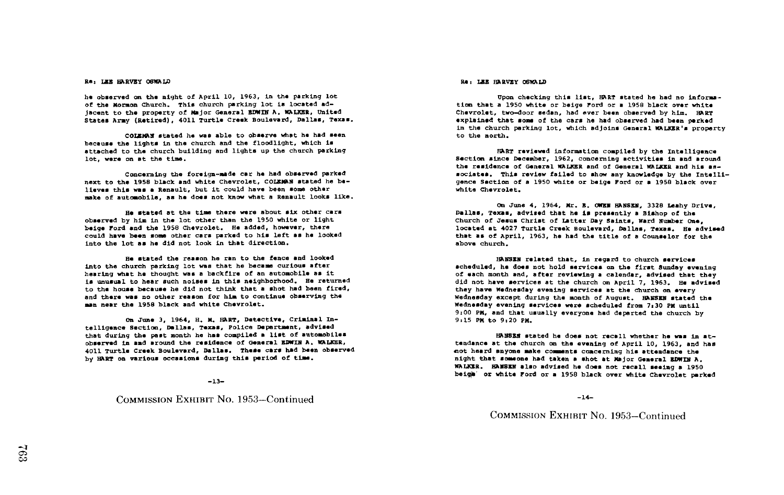lie observed on the night of April 10, 1963, in the parking lot Upon Checking this list, HART stated he had no informa-<br>Of the Mormon Church, This church parking lot is located ad-<br>Of the Mormon Church, This church parking jacent to the property of Major General EDWIN A, WALKER, United Chevrolet, two-door sedan, had ever been observed by him. HART States are the states of the cars he had observed had been perked by him. HART States of the ca States Army (Retired), 4011 Turtle Creek Boulevard, Dallas, Texas.

COLEMAN stated he was able to observe what he had Seen because the lights in the church and the floodlight, which is attached to the church building and lights up the church parking lot, were on at the time.

Concerning the foreign-made car he had observed parked next to the 1958 black and white Chevrolet, COLEMAN stated he believes this was a Renault, but it could have been some other make of automobile, as he does not know what a Renault looks like.

y him in the lot other than the 1950 white or light at the time there were about six other cars observed by him in the lot other than the 1950 white or light beige Ford and the 1958 Chevrolet. He added, however, there could have been some other cars parked to his left as he looked<br>into the lot as he did not look in that direction into the lot as he did not look in that direction.

into the church parking lot was that he became curious after Stated the reason he ran to the fence and looked hearing what he thought was a backfire of an automobile as it is unusual to hear such noises in this neighborhood. He returned and there was no other reason for him to continue observing the to the house because he did not think that a shot had been fired, man near the 1958 black and white Chevrolet.

on June 3, 1964, H. H. HART, Detective, Criminal Inthat during the past month he has compiled a list of automobiles Texas, Police Department, advised observed in and around the residence of General EDWINTA, WALKER, 4011 Turtle Creek Boulevard, Dallas. These cars had been observed<br>. . . . . . . by HART on various occasions during this period of timm .

-13-

### COMMISSION EXHIBIT No. 1953-Continued

# Re, LES BARVEY OSWALD RE, LEE HARVEY OSWALD RE, LEE HARVEY OSWALD

to the north . tion that a 1950 white or beige Ford or a 1958 black over white Chevrolet, two-door sedan, had ever been observed by him. HART in the church parking lot, which adjoins General WALKER's property

HART reviewed information compiled by the Intelligence Sectio<sup>n</sup> since December, 1962, concerning activities in and around the residence of General WALKER and of General WALKER and his associates. This review failed to show any knowledge by the Intelligence Section of a 1950 white or beige Ford or a 195S black over white Chevrolet.

Dallas, Texas, advised that he is presently a Bishop of the June 4, 1964, Mr. E. OWEN HANSEN, 3328 Leahy Drive, Church of Jesus Ch<br>-Church of Jesus Christ of Latter Day Saints, Ward Number One,<br>located at 4027 Turtle Creek Boulevard, Dallas, Texas. He advised<br>that as ad 1027 Turkle that as of April, 1963, he had the title of a Counselor for the above church .

HANSEN related that, in regard to church services scheduled, he does not hold services on the first Sunday evening of each month and, after reviewing a calendar, advised that they did not have services at the church on April 7. 1963. He advised they have Wednesday evening services at the church on every Wednesday except during the month of August. HANSEN stated the Wednesday evening services wers scheduled fron 7,30 PK until 9:00 PM, and that usually everyone had departed the church by 9:15 PM to 9:20 PM.

HANSEN stated he does not recall whether he was in attendance at the church on the evening of April 10, 1963, and has not heard anyone make comments concerning his attendance the night that someone had taken a shot at Major General EDWIN A. WALKER. HANSEN also advised he does not recall seeing a 1950<br>haidh ar chita word as a 1950 black away of the Ol beige' or white Ford or a 1958 black over white Chevrolet parked

 $-14-$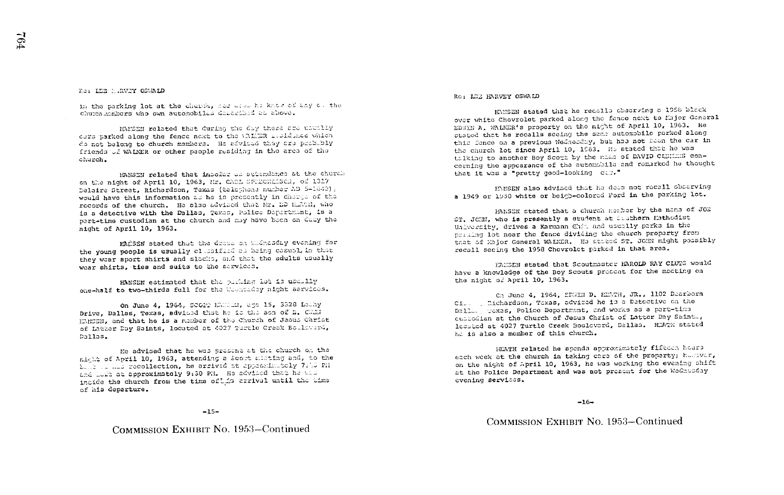#### Res LER HARVEY OSUALD

in the parking lot at the chards, see what he know of any on the church members who own automobiles described as above.

HAMEEN rolated that during the day there are usually cars parked along the fence next to the UNIER insidence which do not belong to church members. He advised they are probably friends of WALKER or other psople residing in the area of the church.

HANSEN related that incofar as attendance at the church on the night of April 10, 1963, Mr. CARL SPITCHERSCH, of 1317 Delaire Street. Richardson. Taxas (telephone number AD 5-1642). would have this information as he is presently in charge of the records of the church. He also advised that Mr. DD EECH, who is a detective with the Dallas, Texas, Police Department, is a part-time custodian at the church and may have been on duby the night of April 10, 1963.

HAČSEN stated that the dress on Widnesday evening for the young people is usually clusified as being casual in that they wear sport shirts and slecks, and that the adults usually wear shirts, ties and suits to the services.

HANSEN estimated that the pushing lot is usually one-half to two-thirds full for the Woundary night services.

on June 4, 1964, SCOPP HENDER, age 15, 3328 Lochy Drive, Dallas, Texas, advised that he is the son of E. Child HEMSEN. and that he is a member of the Church of Jasus Christ of tabbar Dav Saints. located at 4027 Turtle Creek Bouldward, Dallas.

He advised that he was present at the church on the nicht of April 10, 1963, attending a Scort micting and, to the bele le lis recollection, he arrived at approximately 7:15 PH and Left at approximately 9:30 PM. He advised that he the incide the church from the time of the arrival until the time of his departure.

#### $-15-$

COMMISSION EXHIBIT No. 1953–Continued

### RO: LCR RARVEY OSWALD

HANSEN stated that he recalls observing a 1958 black over white Chovrolet parked along the fence next to Major General EDWIN A. WALKER's property on the might of April 10, 1963. He stated that he recalls seeing the same automobile parked along this fence on a previous Wednesday, but has not seen the car in the church lot since April 10, 1963. He stated that he was talking to another Boy Scout by the name of DAVID CASHINS concerning the appearance of the automobile and remarked he thought that it was a "oretty good-looking cam."

HANSEN also advised that he dees not recall observing a 1949 or 1950 white or beigh-colored Ford in the parking lot.

HANSEN stated that a church member by the name of JOB ST. JOHN, who is presently a student at Southern Mathodist University, drives a Karmann Chin and usually parks in the perking lot near the fence dividing the church proparty from that of Major General WALKER. He stited ST. JOHN might possibly recall secing the 1958 Chovrolet parked in that area.

FANSEN stated that Scoutmaster HAROLD RAY CLUTS would have a knowledge of the Boy Scouts prosent for the meeting on the night of April 10, 1963.

On June 4. 1964. EDWIN D. HEATH, JR., 1102 Dearborn Ci. Richardson, Toxas, advised he is a Detective on the Dalla. Toxas, Polico Department, and works as a part-time custodian at the Church of Jesus Christ of Latter Day Saint. located at 4027 Turtle Creek Boulovard, Dallas. HEATH stated he is also a member of this church.

HEATH related he spends approximately fifteen hours each week at the church in taking cars of the property; however, on the night of April 10, 1963, he was working the evening shift at the Police Department and was not present for the Wednesday evening services.

 $-16-$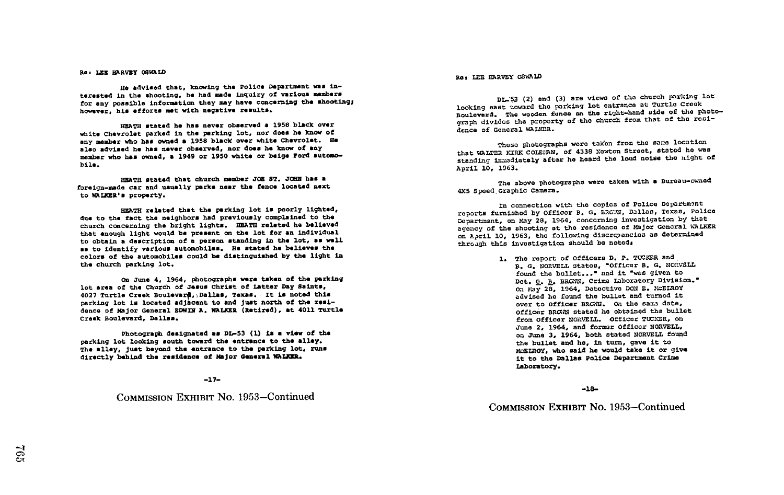# Re: LEE HARVEY OSWALD

He advised that, knowing the Police Department was interested in the shooting, he had made inquiry of various members for any possible information they may have concerning the shooting; however, his efforts met with negative results.

HEATH stated he has never observed a 1958 black over white Chevrolet parked in the parking lot, nor does he know of any member who has owned a 1958 black over white Chevrolet. He also advised he has never observed, nor does he know of any member who has owned, <sup>a</sup> 1949 or 1950 white or beige Ford automobile .

HEATH stated that church member JOE ST. JOHN has a foreign-made car and usually parks near the fence located next to WALZER'S property .

HEATH related that the parking lot is poorly lighted, due to the fact the neighbors had previously complained to the Church concerning the bright lights . HEATH related he believed that enough light would be present on the lot for an individual to obtain a description of a person standing in the lot, as wall as to identify various automobiles. He stated he believes the colors of the automobiles could be distinguished by the light in the church parking lot.

on June 4, 1964, photographs were taken of the parking lot area of the Church of Jesus Christ of Latter Day Saints, 4027 Turtle Crook Boulevarf,-,Dallas, Texas . it is noted this parking lot is located adjacent to and just north of the residence of Major General EDWIN A. WALKER (Retired), at 4011 Turtle Crook Boulevard, Dallas .

Photograph designated am DL-53 (1) is a view of the parking lot looking south toward the entrance to the alley. The alley, just beyond the entrance to the parking lot, runs directly behind the residence of Major General WALKER.

#### -17-

## COMMISSION EXHIBIT No. 1953-Continued

#### Re: LEE HARVEY OSWALD

Dr..;53 (2) and (3) are views of the church parking lot looking east toward the parking lot entrance at Turtle Creek Boulevard. The wooden fence on the right-hand side of the photograph divides the proparty of the church from that of the rosidence of General WALKER.

Those photographs were taken from the same location that WALTER KIRK COLEMAN, of 4338 Newton Street, stated he was standing immacdiately after he hoard the loud noise the night of April 10, 1963.

The above photographs were taken with a Bureau-owned 4x5 Spoed Graphic Camera.

In connection with the copies of Police Dopartmont reports furnishod by Officer B. G. BROWN, Dallas, Texas, Police Department, on May 28, 1964, concerning investigation by that agency of the shoorting at the residence of major General WALKER on April 10, 1963, the following discrepancies as determined throagh this investigation should be noteds

> 1. The report of Officers D. P. TUCKER and B. G. NORVELL States, "Officer B. G. NORVELL found the bullet..." and it "was given to Det. G. B. BROWN, Crime Laboratory Division. On May 28, 1964, Detective DON E. MCELROY advised he found the bullet and turned it over to Officer BRGAM. On the same date, Officer BRaIN stated he obtained the bullet from Officer NORVELL. Officer TUCKER, on June 2, 1964, and formar Officer NORVELL, on June 3, 1964, both stated NORVELL found the bullet and he, in turn, gave it to XcELROY, who said he would take it or give it to the Dallas Police Department Crime Laboratory.

> > \_18-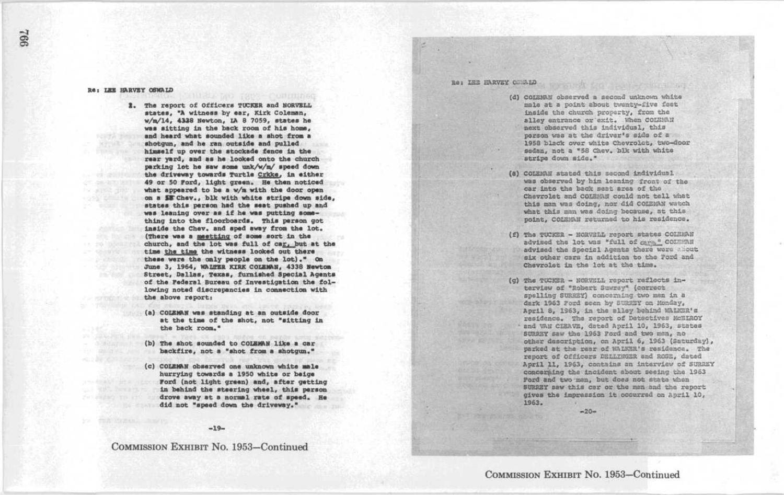#### Re: LEE HARVEY OSWALD

2. The report of Officers TUCKER and NORVELL states, "A witness by ear, Kirk Coleman, w/m/14, 4330 Newton, LA 8 7059, states he was sitting in the back room of his home. and heard what sounded like a shot from a shotgun, and he ran outside and pulled himself up Over the stockade fence in the rear yard, and as he looked onto the church parking lat he saw Some unk/w/m/ speed down the driveway towards Turtle Crkke, In either 49 or 50 Ford, light green. He then noticed what appeared to be a w/m with the door open on a SE Chev., blk with white strips down side, states this person had the seat pushed up and was leaning over as if he was putting something into the floorboards. This person got inside the Chev. and sped away from the lot. (There was a meetting of some sort in the church, and the lot was full of car, but at the time the time the witness looked out there these were the only people on the lot)." On June 3, 1964, WALTER KIRK COLEMAN, 4338 Newton Street, Dallas, Texas, furnished Special Agents of the Federal Bureau of Investigation the following noted discrepancies in connection with the above report: what this mean ing over an if he was putting some content in the state of the state of the state of the state of the state of the state of the state of the state of the state of the state of the state of the state of the s

- (a) COLEMAN was standing at an outside door at the time of the shot, not "sitting in the back room."
- (b) The shot sounded to COLEMAN like a car backfire, not a "shot from a shotgun."
- (c) COLEMAN observed one unknown white male hurrying towards a 1950 white or beige Ford (not light green) and, after getting in behind the steering wheel, this person drove away at a normal rate of speed. He did not "speed down the driveway."

#### $-19-$

COMMISSION EXHIBIT No. 1953-Continued

#### Re: ISE HARVEY COULD

- (d) COIEMAN observed a second unknown white male at a point about twenty-five feet inside the church property, from the alley entrance or exit. When COLEMAN next observed this individual, this parson was at the driver's side of a 1958 black over white Chevrolet, two-door sedan, not a "58 Chev. blk with white stripe down.side."
- (a) COLEMAN stated this second individual was observed by him leaning front of the car into the back seat area of the Chevrolet and COLEMAN could not tell what this man was doing, nor did COIZNAN watch<br>what this man was doing because, at this what this man was doing because, at this<br>point, COLEMAN returned to his residence.
- (f) The TUCKER NORVELL report states COLEMAN advised the lot was "full of care." COLEMAN advised the Special Agents there were about six other cars in addition to the Ford and Chevrolet in the lot at the time.
- (g) The TUCKER NORVELL report reflects interview of "Robert Suwray" (correct<br>spelling SuRREY) concerning two man in a dark 1963 Ford seen by SURREY on Monday, April 8, 1963, in the alley behind waters's residence. The report of Datectives McEIROY and VAN CIERVE, dated April 10, 1963, states SURDRY saw the 1963 Ford and two men, no other description, on April 6, 1963 (Saturday), parked at the rear of WALNER's residence. The report of Officers DELLINGER and ROSE, dated April 11, 1963, contains an interview of SURREY concerning the incident about seeing the 1963 Pord and two man, but does not state when SURRRY saw this car or the man and the report gives the impression it occurred on April 10, 1963 .

 $-20-$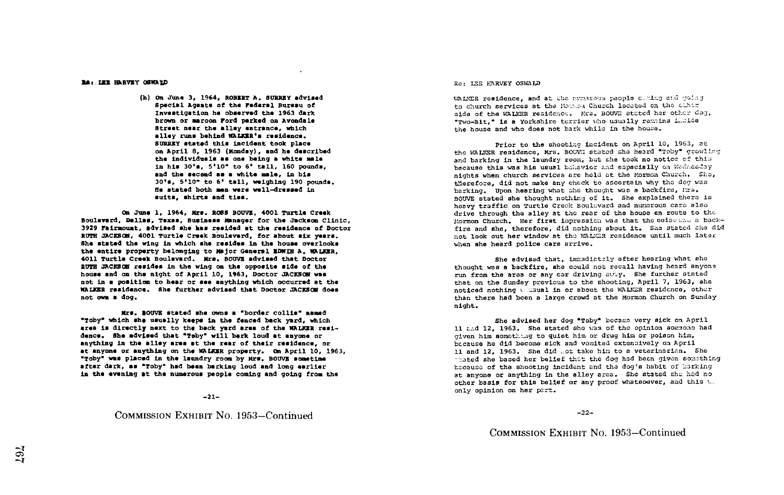14~-LKZ HRRVRY OBWAXP

(h) On June 3, 1964, ROBERT A. SURREY advised Special Agents of the Federal Bureau of brown or maroon Ford parked on Avondale Street near the alley entrance, which alley runs behind WALKZR's residence . SURREY stated this Incident took place on April 8, 1963 (Monday), and he described the individuals an one being a white male in his 30's, 5'10" to 6' tall, 160 pounds, and the second as a white male, in his 30-s, 5-10- to 6- tall, weighing 190 pounds . He stated both men were well-dressed in suits, shirts and ties.

On June 1, 1964, Mrs. ROSS BOUVE, 4001 Turtle Creek Boulevard, Dallas, Texas, Buxinesm manager for the Jackson Clinic, 3929 Fairmount, advised she has resided at the residence of Doctor RUTH JACKSON, 4001 Turtle Crook Boulevard, for about six years . She stated the wing in which she resides in the house overlooks the entire property belonging to Major General EDWIN A. WALKER. 4011 Turtle Creek Boulevard. Mrs. BOUVE advised that Doctor RUTH JACKSON resides in the wing on the opposite side of the house and on the night of April 10, 1963, Doctor JACKSON was not in a position to hour or sea anything which occurred at the WALKER residence . She further advised that Doctor JACKSON does not own <sup>a</sup> dog .

Mrs. BOUVE stated she owns a "border collie" manad "Toby\* which she usually keeps in the fenced beck yard, which area is directly next to the back yard area of the WALKER residence. She advised that "Toby" will bark loud at anyone or anything in the alley area at the roar of their residence, or at anyone or anything on the WALKER property. On April 10, 1963, "Toby' was placed in the laundry room by Kra . MOVE sometime after dark, as "Toby" had been barking loud and long earlier in the evening at the numerous people coming and going from the

 $-21-$ 

# COMMISSION EXHIBIT No. 1953-Continued

#### Re: LEE HARVEY OSWALD

WALMER residence, and at the numarous people ceming and going<br>to church services at the Momes Church located on the other side of the WALKER residence. Mrs. BOUVE stated her other dog, "Two-Bit," is a Yorkshire terrier who usually remains inside the house and who does not bark while in the house.

Prior to the shooting incident on April 10, 1963, at the WALKER residence, Mrs. BOUVM stated she heard "Toby" growling and barking in the laundry room, but she took no notice of this because this was his usual behavior and espacially on Wednesday nights when church services are hold at the Mormon Church. Sho, therefore, did not make any check to ascertain why the dog was barking. Upon hearing what she thought was a backfire, Mrs. BOUVE stated she thought nothirg of it. She explained tharo is heavy traffic on Turtle Creek Boulovard and numerous cars also drive through the alley at the rear of the house en route to the Mormon Church. Her first impression was that the noise was a backfire and she, therefore, did nothing about it. She stated she did not look out her window at the WALEER residence until much later when she heard police cars arrive.

She advised that, immsdiately after hearing what she thought was a backfire, she could not recall having heard anyone run from the area or any car driving away. She further stated that on the Sunday previous to the shooting, April 7, 1963, she noticed nothing v saual in or about the WALER residence, other than there had been a large crowd at the Mormon Church on Sunday night .

She advised her dog "Toby" became very sick on April 11 and 12, 1963. She stated she was of the opinion someone had given him somst~--g to quiet him or drug him or poison him, bccause he did become sick and vomited extensively on April 11 and 12, 1963. She did mot take him to a veterinarien. She - ated she based her belief that the dog had been given something because of the shooting incident and the dog's habit of barking at anyone or anything in the alley area. She stated she had no other basis for this belief or any proof whatsoever, and this was only opinion on her pzrt .

-22-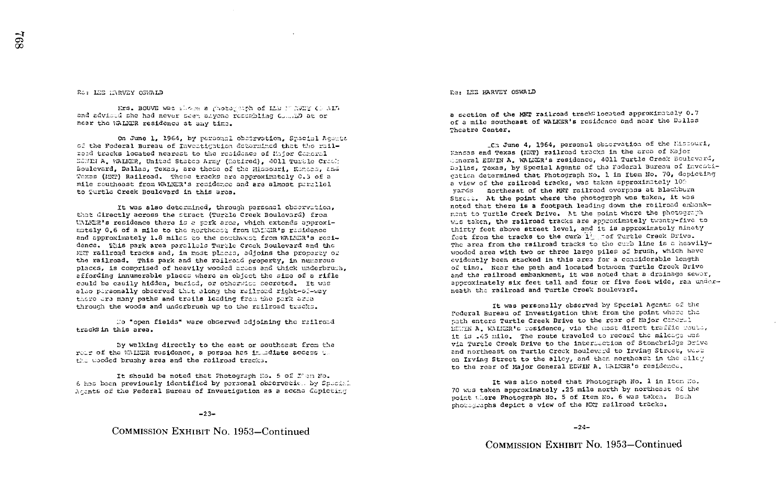#### Ro: LEE HARVEY OSWALD

Mrs. BOUVE was slower a ghotograph of Like TT RWINT CO ALD and advised she had never seen anyone recombling Commit at or near the WALKER residence at any time.

On June 1, 1964, by personal observation, Spacial Agents of the Pederal Bureau of Investigation determined that the railroad tracks located nearest to the residence of Major Ceneral HOWING A. WALKER. United States Army (Rotired). 4011 Turble Crook Boulevard, Dallas, Texas, are those of the Missouri, Kances, and Texas (MCP) Railroad. These tracks are approximately 0.3 of a mile southeast from WALWER's residence and are almost perallel to Turtlo Creek Boulevard in this area.

It was also determined, through personal observation, that directly across the street (Turtle Creek Boulevard) from WALKER's residence there is a park area, which extends approximately 0.6 of a mile to the northeast from WAIGR's rasidence and approximately 1.8 miles to the southwest from WALKER's residence. This park area parallels Turtle Creek Boulevard and the MET railroad tracks and, in most places, adjoins the property of the railroad. This park and the railroad property, in numerous places, is comprised of heavily wooded areas and thick underbruch, affording innumerable places where an object the size of a rifle could be easily hidden, buried, or otherwise secreted. It was also personally observed that along the railroad right-of-way there are many paths and trails leading from the park area through the woods and underbrush up to the railroad tracks.

Ho "open fields" were observed adjoining the railroad tracks in this area.

By walking directly to the east or southeast from the rear of the WALER residence, a person has immediate access the the wooded brushy area and the railroad tracks.

It should be noted that Photograph No. 5 of I'en No. 6 has been previously identified by personal observation by Speckel Acants of the Federal Bureau of Investigation as a scene depicting

 $-23-$ 

COMMISSION EXHIBIT No. 1953-Continued

RG: LEE HARVEY OSWALD

a section of the MKT railroad trackslocated approximately 0.7 of a mile southeast of WALKER's residence and near the Dallas Theatre Center.

\_Cn June 4, 1964, personal observation of the Missouri, Kenses and Texas (MRT) railroad tracks in the area of Najor Concral EDWIN A. WALKER's residence, 4011 Turtle Creak Boulevard, Dallas, Texas, by Special Agents of the Federal Bureau of Investigation determined that Photograph No. 1 in Item No. 70, depicting a view of the railroad tracks, was taken approximately 109 yards northeast of the MKT railroad overpass at Blackburn Street. At the point where the photograph was taken, it was noted that there is a footpath leading down the railroad embankment to Turtle Creek Drive. At the point where the photograph wis taken, the railroad tracks are approximately twenty-five to thirty feet above street level, and it is approximately ninety feet from the tracks to the curb 1 cof Turtle Creek Drive. The area from the railroad tracks to the curb line is a heavilywooded area with two or three large piles of brush, which have evidently been stacked in this area for a considerable length of time. Near the path and located between Turtle Croek Drive and the railroad embankment, it was noted that a drainage sewer, approximately six feet tall and four or five feet wide, ran underneath the railroad and Turtle Creek Boulevard.

It was personally observed by Special Agents of the Federal Bureau of Investigation that from the point where the path enters Turtle Creek Drive to the rear of Major Concrul shirm A. WALKER's residence, via the most direct traffic routs, it is .45 mile. The route traveled to record the mileage was via Turtle Creek Drive to the intersection of Stonebridge Drive and northeast on Turtle Creek Boulevard to Irving Street, west on Irving Street to the alley, and then northeast in the alley to the rear of Major General EDWIN A. WALKSR's residence.

It was also noted that Photograph No. 1 in Item No. 70 was taken approximately .25 mile north by northeast of the point there Photograph No. 5 of Item No. 6 was taken. Both photographs depict a view of the MWT railroad tracks.

 $-24-$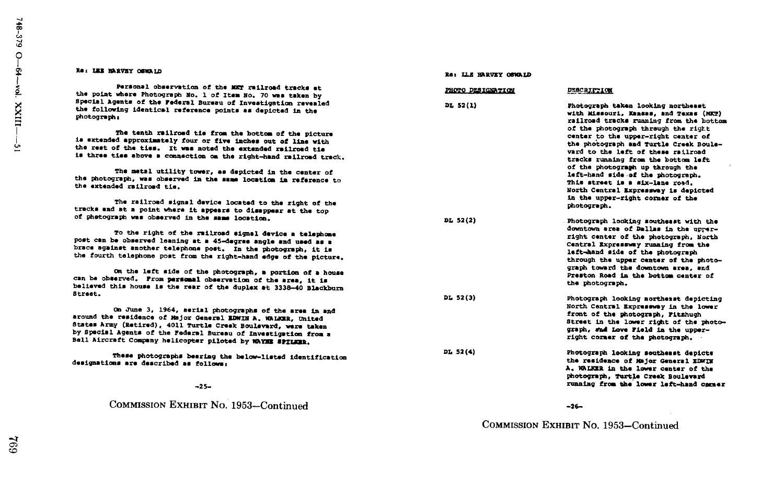#### Re: LEE BARVEY OSWALD

#### Re: ILE HARVEY OSWAID

| Personal observation of the MKT railroad tracks at<br>the point where Photograph No. 1 of Item No. 70 was taken by                                                                                                                                                                                                        | PHOTO DESIGNATION | <b>DESCRIPTION</b>                                                                                                                                                                                |
|---------------------------------------------------------------------------------------------------------------------------------------------------------------------------------------------------------------------------------------------------------------------------------------------------------------------------|-------------------|---------------------------------------------------------------------------------------------------------------------------------------------------------------------------------------------------|
| Special Agents of the Federal Bureau of Investigation revealed<br>the following identical reference points as depicted in the<br>photograph:                                                                                                                                                                              | DL 52(1)          | Photograph taken looking northeast<br>with Missouri, Kansas, and Texas (MKT)<br>railroad tracks running from the bottom                                                                           |
| The tenth railroad tie from the bottom of the picture<br>is extended approximately four or five inches out of line with<br>the rest of the ties. It was noted the extended railroad tie<br>is three ties above a connection on the right-hand railroad track.                                                             |                   | of the photograph through the right<br>center to the upper-right center of<br>the photograph and Turtle Creek Boule-<br>vard to the left of these railroad<br>tracks running from the bottom left |
| The metal utility tower, as depicted in the center of<br>the photograph, was observed in the same location in reference to<br>the extended railroad tis.                                                                                                                                                                  |                   | of the photograph up through the<br>left-hand side of the photograph.<br>This street is a six-lane road.<br>North Central Expressway is depicted<br>in the upper-right corner of the              |
| The railroad signal device located to the right of the<br>tracks and at a point where it appears to disappear at the top                                                                                                                                                                                                  |                   | photograph.                                                                                                                                                                                       |
| of photograph was observed in the same location.                                                                                                                                                                                                                                                                          | DL 52(2)          | Photograph looking southeast with the<br>downtown area of Dallas in the upper-                                                                                                                    |
| To the right of the railroad signal device a telephone<br>post can be observed leaning at a 45-degree angle and used as a<br>brace against another telephone post. In the photograph, it is<br>the fourth telephone post from the right-hand edge of the picture.                                                         |                   | right center of the photograph. North<br>Central Expressway running from the<br>left-hand side of the photograph<br>through the upper center of the photo-                                        |
| On the left side of the photograph, a portion of a house<br>can be observed. From personal observation of the area, it is<br>believed this house is the rear of the duplex at 3338-40 Blackburn                                                                                                                           |                   | graph toward the downtown area, and<br>Preston Road in the bottom center of<br>the photograph.                                                                                                    |
| Street.                                                                                                                                                                                                                                                                                                                   | DL 52(3)          | Photograph looking northeast depicting<br>North Central Expressway in the lower                                                                                                                   |
| On June 3, 1964, aerial photographs of the area in and<br>around the residence of Major General EDWIN A. WALKER, United<br>States Army (Retired), 4011 Turtle Creek Boulevard, were taken<br>by Special Agents of the Federal Bureau of Investigation from a<br>Bell Aircraft Company helicopter piloted by WAYNE SPILER. |                   | front of the photograph, Fitzhugh<br>Street in the lower right of the photo-<br>graph, and Love Field in the upper-<br>right corner of the photograph.                                            |
| These photographs bearing the below-listed identification<br>designations are described as follows:                                                                                                                                                                                                                       | DL 52(4)          | Photograph looking southeast depicts<br>the residence of Major General EDWIN<br>A. WALKER in the lower center of the<br>photograph, Turtle Creek Boulevard                                        |
| $-25-$                                                                                                                                                                                                                                                                                                                    |                   | running from the lower left-hand cameer                                                                                                                                                           |
| COMMISSION EXHIBIT No. 1953-Continued                                                                                                                                                                                                                                                                                     |                   | $-26-$                                                                                                                                                                                            |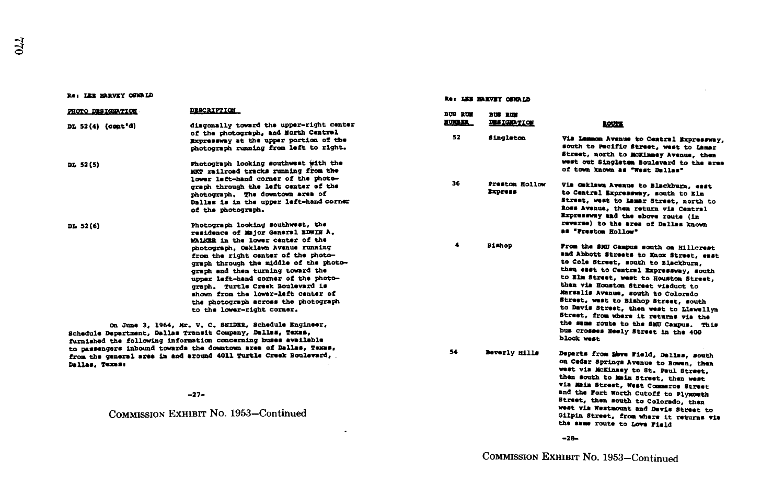#### Re: LEE HARVEY OSWALD

Dallas, Texna:

| PHOTO DESIGNATION | <b>DESCRIPTION</b>                                                                                                                                                                                                                                                                                                                                | <b>BUS RUM</b>   | <b>BUS RUN</b>            |                                                                                                                                                                                                                                                                                                                                                                                                                      |
|-------------------|---------------------------------------------------------------------------------------------------------------------------------------------------------------------------------------------------------------------------------------------------------------------------------------------------------------------------------------------------|------------------|---------------------------|----------------------------------------------------------------------------------------------------------------------------------------------------------------------------------------------------------------------------------------------------------------------------------------------------------------------------------------------------------------------------------------------------------------------|
| DL 52(4) (cont'd) | diagonally toward the upper-right center                                                                                                                                                                                                                                                                                                          | <b>NUMBER</b>    | <b>DESIGNATION</b>        | <b>ROUTE</b>                                                                                                                                                                                                                                                                                                                                                                                                         |
|                   | of the photograph, and North Central<br>Expressway at the upper portion of the<br>photograph running from left to right.                                                                                                                                                                                                                          | 52               | Singleton                 | Via Lemmon Avenue to Central Expressway,<br>south to Pecific Street, west to Lamar<br>Street, north to MCKinney Avenue, then                                                                                                                                                                                                                                                                                         |
| DL 52(5)          | Photograph looking southwest with the<br>MKT railroad tracks running from the<br>lower left-hand corner of the photo-                                                                                                                                                                                                                             |                  |                           | west out Singletom Boulevard to the area<br>of town known as "West Dellas"                                                                                                                                                                                                                                                                                                                                           |
|                   | graph through the left center of the<br>photograph. The downtown area of<br>Dallas is in the upper left-hand corner<br>of the photograph.                                                                                                                                                                                                         | 36               | Preston Hollow<br>Express | Via Oaklawa Avenue to Blackburn, east<br>to Central Expressway, south to Elm<br>Street, west to Lamar Street, north to<br>Ross Avenue, then return via Central<br>Expressway and the above route (in                                                                                                                                                                                                                 |
| DL 52(6)          | Photograph looking southwest, the<br>residence of Major General EDWIN A.<br>WALKER in the lower center of the                                                                                                                                                                                                                                     |                  |                           | reverse) to the area of Dallas known<br>as "Prestom Hollow"                                                                                                                                                                                                                                                                                                                                                          |
|                   | photograph, Osklawn Avenue running<br>from the right center of the photo-<br>graph through the middle of the photo-<br>graph and then turning toward the<br>upper left-hand corner of the photo-<br>graph. Turtle Creek Boulevard is<br>shown from the lower-left center of<br>the photograph across the photograph<br>to the lower-right corner. | $\ddot{\bullet}$ | <b>Bishop</b>             | From the SMU Campus south on Hillcrest<br>and Abbott Streets to Knox Street, east<br>to Cole Street, south to Blackburn,<br>then east to Central Expressway, south<br>to Elm Street, west to Houston Street,<br>then via Houston Street viaduct to<br>Marsalis Avenue, south to Colorado<br>Street, west to Bishop Street, south<br>to Davis Street, then west to Llewellyn<br>Street, from where it returns via the |
|                   | On June 3, 1964, Mr. V. C. SNIDER, Schedule Engineer,<br>Schedule Department, Dallas Transit Company, Dallas, Texas,<br>furnished the following information concerning buses available                                                                                                                                                            |                  |                           | the same route to the SMU Campus. This<br>bus crosses Neely Street in the 400<br>block west                                                                                                                                                                                                                                                                                                                          |
|                   | to passengers inbound towards the downtown area of Dallas, Texas,                                                                                                                                                                                                                                                                                 | 54               | Beverly Hills             | Dennete from them wintd matter contr                                                                                                                                                                                                                                                                                                                                                                                 |

 $\lambda$ 

34 Beverly Hills Departs from &6va Field, Dallas, south on Cedar Springs Avenue to Bowen, then<br>west via McKinney to St. Paul Street,<br>than south to Mult Street, then south to Main Street, then west Via Main Street, West Commerce Street and the Fort Worth Cutoff to Plymowth<br>Street, then south to Colorado, then west via Westmount and Davis Street to west via Westmount and Davis Street to<br>Gilpin Street, from where it returns via the some route to Love Field

-28-

-27-

from the general area in and around 4011 Turtle Crook Boulevard,

COMMISSION EXHIBIT No. 1953-Continued

#### Re: LEE HARVEY OSWALD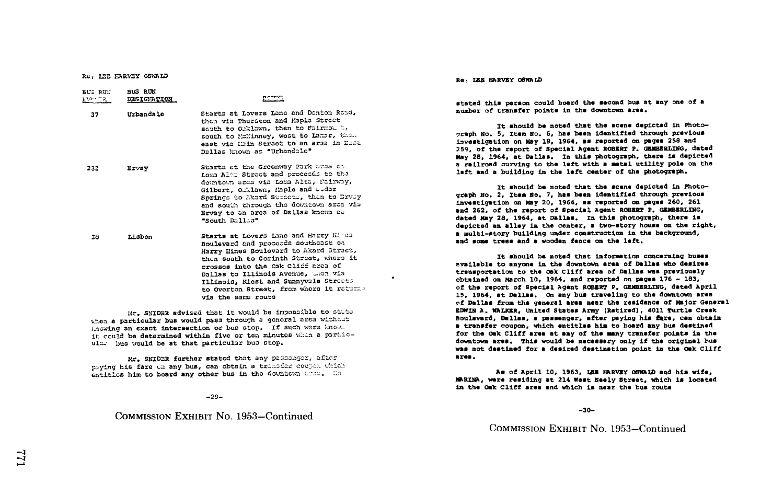Ra: IZE EARVEY OSWALD

| BUG RUE<br>MOTTR. | <b>BUS RUN</b><br>DESIGNATION | POTTOT                                                                                                                                                                                                                                                                                                                                                   |
|-------------------|-------------------------------|----------------------------------------------------------------------------------------------------------------------------------------------------------------------------------------------------------------------------------------------------------------------------------------------------------------------------------------------------------|
| 37                | Urbandale                     | Starts at Lovers Lana and Donton Road,<br>then via Thurston and Maple Street<br>south to Ocklown, then to Fairmou t,<br>south to McKinney, west to Lamar, then<br>east via Main Street to an area in East<br>Dallas known as "Urbandale"                                                                                                                 |
| 232               | Ervay                         | Starts at the Greenway Park area on<br>Loma Alma Street and proceeds to the<br>downtown area via Loma Alta, Fairway,<br>Gilbert, Oiklawn, Maple and Cudar<br>Springs to Akard Streets, then to Drvey<br>and south through the downtown area vis<br>Ervay to an area of Dallas known as<br>"South Dallas"                                                 |
| 38                | Lisbon                        | Starts at Lovers Lane and Harry Hires<br>Boulevard and proceeds southeast on<br>Harry Hines Boulevard to Akard Street,<br>then south to Corinth Street, where it<br>crosses into the Cak Cliff area of<br>Dallas to Illinois Avenue, when via<br>Illinois, Kiest and Sunnyvale Streets<br>to Overton Street, from where it returns<br>via the same route |
|                   |                               | Mr. SNIDER advised that it would be impossible to state<br>when a particular bus would pass through a general area without                                                                                                                                                                                                                               |

when a particular bus would pass through a general area without linewise the stop . If such ware lmost it could be determined within five or ten minutes when a particular bus would be at that particular bus stop.

Mr. SNIDZR further stated that any passenger, after paying his fare on any bus, can obtain a transfer couper which entitles him to board any other bus in the downtown area. He

-29-

# COMMISSION EXHIBIT No. 1953-Continued

#### Re: LEE HARVEY OSWALD

 $\bullet$ 

stated this person could board the second bus at any one of a number of transfer points in the downtown area .

It should be noted that the scene depicted in Photograph No. 5, Item No. 6, has been identified through previous Investigation an May 18, 1964, am reported an pages <sup>258</sup> and 259, of the report of Special Agent ROSZRT P. GZMRLING, dated May 28, 1964, at Dallas. In this photograph, there is depicted a railroad curving to the left with a metal utility pole on the left and a building to the left center of the photograph .

It should be noted that the scene depicted in Photograph No. 2. Item No. 7, has been identified through previous investigation on May 20, 1964, as reported an pages 260, <sup>261</sup> and 262, of the report of Special Agent ROBERT P. GEMBERLING, dated May 28, 1964, at Dallas. In this photograph, there is depicted an alley In the center, a two-story house on the right, a multi-story building under construction in the background, and some trees and a wooden fence on the left.

it should be noted that information concerning buses available to anyone in the downtown area of Dallas who damires transportation to the Oak Cliff area of Dallas was previously obtained on March 10, 1964, and reported on pages 176 - 183, of the report of Special Agent ROBERT P. GEMBERLING, dated April 15, 1964, at Dallas. On any bus traveling to the downtown area ~f Dallas from the general area near the residence of major General ZDKXN A . VALKXR, United States Army (Retired), 4011 Turtle Crook Boulevard, Dallas, a passenger, after paying his ftre, can obtain a transfer coupon, which entitles him to board any bus destined<br>for the Oak Cliff area at any of the many transfer points in the downtown area. This would be necessary only if the original bus was not destined for a desired destination point in the Oak Cliff area .

Am of April 10, 1963, LRZ HARVEY OSMRLD and his wife, MARTHA, were residing at 214 West Neely Street, which in located in the Oak Cliff area and which is near the bus route

-30-